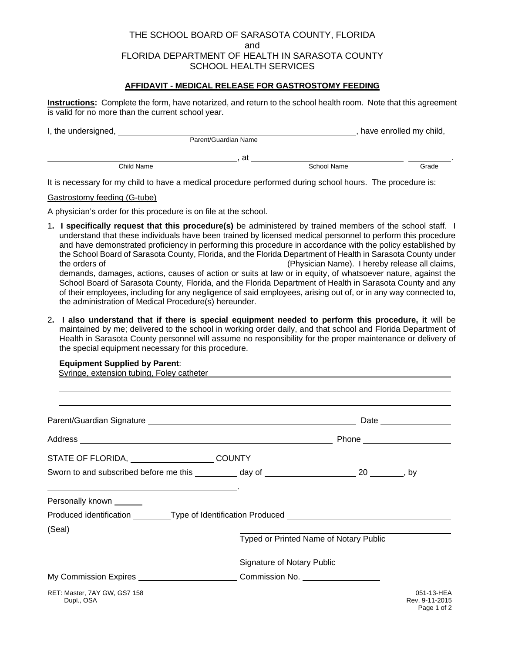# THE SCHOOL BOARD OF SARASOTA COUNTY, FLORIDA and FLORIDA DEPARTMENT OF HEALTH IN SARASOTA COUNTY SCHOOL HEALTH SERVICES

## **AFFIDAVIT - MEDICAL RELEASE FOR GASTROSTOMY FEEDING**

**Instructions:** Complete the form, have notarized, and return to the school health room. Note that this agreement is valid for no more than the current school year.

| I, the undersigned, |                      |    |             | have enrolled my child, |  |
|---------------------|----------------------|----|-------------|-------------------------|--|
|                     | Parent/Guardian Name |    |             |                         |  |
|                     |                      | at |             |                         |  |
|                     | Child Name           |    | School Name | Grade                   |  |

It is necessary for my child to have a medical procedure performed during school hours. The procedure is:

Gastrostomy feeding (G-tube)

A physician's order for this procedure is on file at the school.

- 1**. I specifically request that this procedure(s)** be administered by trained members of the school staff. I understand that these individuals have been trained by licensed medical personnel to perform this procedure and have demonstrated proficiency in performing this procedure in accordance with the policy established by the School Board of Sarasota County, Florida, and the Florida Department of Health in Sarasota County under the orders of (Physician Name). I hereby release all claims, demands, damages, actions, causes of action or suits at law or in equity, of whatsoever nature, against the School Board of Sarasota County, Florida, and the Florida Department of Health in Sarasota County and any of their employees, including for any negligence of said employees, arising out of, or in any way connected to, the administration of Medical Procedure(s) hereunder.
- 2**. I also understand that if there is special equipment needed to perform this procedure, it** will be maintained by me; delivered to the school in working order daily, and that school and Florida Department of Health in Sarasota County personnel will assume no responsibility for the proper maintenance or delivery of the special equipment necessary for this procedure.

#### **Equipment Supplied by Parent**:

Syringe, extension tubing, Foley catheter

| STATE OF FLORIDA, _________________________COUNTY                                                                                                                                                                                                 |                                        |                                             |
|---------------------------------------------------------------------------------------------------------------------------------------------------------------------------------------------------------------------------------------------------|----------------------------------------|---------------------------------------------|
| Sworn to and subscribed before me this __________ day of ________________________ 20 ________, by                                                                                                                                                 |                                        |                                             |
| the control of the control of the control of the control of the control of the control of the control of the control of the control of the control of the control of the control of the control of the control of the control<br>Personally known |                                        |                                             |
| Produced identification _________Type of Identification Produced _______________                                                                                                                                                                  |                                        |                                             |
| (Seal)                                                                                                                                                                                                                                            | Typed or Printed Name of Notary Public |                                             |
|                                                                                                                                                                                                                                                   | <b>Signature of Notary Public</b>      |                                             |
| My Commission Expires _________________________Commission No. __________________                                                                                                                                                                  |                                        |                                             |
| RET: Master, 7AY GW, GS7 158<br>Dupl., OSA                                                                                                                                                                                                        |                                        | 051-13-HEA<br>Rev. 9-11-2015<br>Page 1 of 2 |